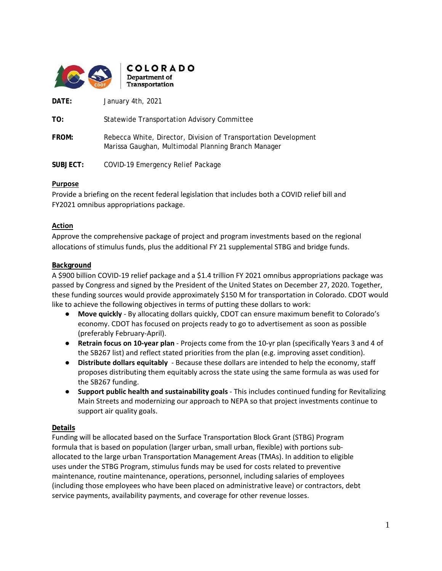

**DATE:** January 4th, 2021

**TO:** Statewide Transportation Advisory Committee

**FROM:** Rebecca White, Director, Division of Transportation Development Marissa Gaughan, Multimodal Planning Branch Manager

**SUBJECT:** COVID-19 Emergency Relief Package

#### **Purpose**

Provide a briefing on the recent federal legislation that includes both a COVID relief bill and FY2021 omnibus appropriations package.

#### **Action**

Approve the comprehensive package of project and program investments based on the regional allocations of stimulus funds, plus the additional FY 21 supplemental STBG and bridge funds.

#### **Background**

A \$900 billion COVID-19 relief package and a \$1.4 trillion FY 2021 omnibus appropriations package was passed by Congress and signed by the President of the United States on December 27, 2020. Together, these funding sources would provide approximately \$150 M for transportation in Colorado. CDOT would like to achieve the following objectives in terms of putting these dollars to work:

- **Move quickly**  By allocating dollars quickly, CDOT can ensure maximum benefit to Colorado's economy. CDOT has focused on projects ready to go to advertisement as soon as possible (preferably February-April).
- **Retrain focus on 10-year plan** Projects come from the 10-yr plan (specifically Years 3 and 4 of the SB267 list) and reflect stated priorities from the plan (e.g. improving asset condition).
- **Distribute dollars equitably** Because these dollars are intended to help the economy, staff proposes distributing them equitably across the state using the same formula as was used for the SB267 funding.
- **Support public health and sustainability goals** This includes continued funding for Revitalizing Main Streets and modernizing our approach to NEPA so that project investments continue to support air quality goals.

#### **Details**

Funding will be allocated based on the Surface Transportation Block Grant (STBG) Program formula that is based on population (larger urban, small urban, flexible) with portions suballocated to the large urban Transportation Management Areas (TMAs). In addition to eligible uses under the STBG Program, stimulus funds may be used for costs related to preventive maintenance, routine maintenance, operations, personnel, including salaries of employees (including those employees who have been placed on administrative leave) or contractors, debt service payments, availability payments, and coverage for other revenue losses.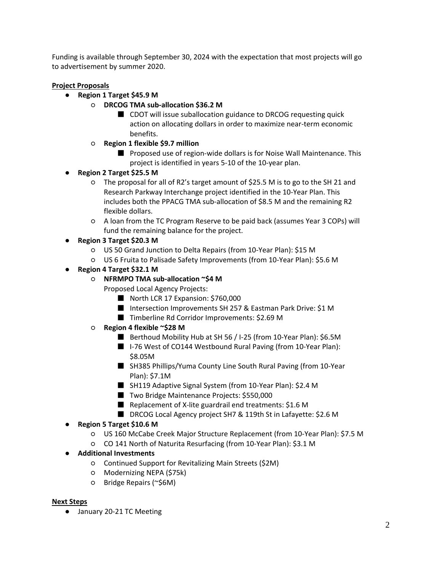Funding is available through September 30, 2024 with the expectation that most projects will go to advertisement by summer 2020.

### **Project Proposals**

- **Region 1 Target \$45.9 M** 
	- **DRCOG TMA sub-allocation \$36.2 M** 
		- CDOT will issue suballocation guidance to DRCOG requesting quick action on allocating dollars in order to maximize near-term economic benefits.
	- **Region 1 flexible \$9.7 million**
		- Proposed use of region-wide dollars is for Noise Wall Maintenance. This project is identified in years 5-10 of the 10-year plan.
- **Region 2 Target \$25.5 M**
	- The proposal for all of R2's target amount of \$25.5 M is to go to the SH 21 and Research Parkway Interchange project identified in the 10-Year Plan. This includes both the PPACG TMA sub-allocation of \$8.5 M and the remaining R2 flexible dollars.
	- A loan from the TC Program Reserve to be paid back (assumes Year 3 COPs) will fund the remaining balance for the project.
- **Region 3 Target \$20.3 M**
	- US 50 Grand Junction to Delta Repairs (from 10-Year Plan): \$15 M
	- US 6 Fruita to Palisade Safety Improvements (from 10-Year Plan): \$5.6 M
- **Region 4 Target \$32.1 M**
	- **NFRMPO TMA sub-allocation ~\$4 M**
		- Proposed Local Agency Projects:
			- North LCR 17 Expansion: \$760,000
			- Intersection Improvements SH 257 & Eastman Park Drive: \$1 M
			- Timberline Rd Corridor Improvements: \$2.69 M
	- **Region 4 flexible ~\$28 M**
		- Berthoud Mobility Hub at SH 56 / I-25 (from 10-Year Plan): \$6.5M
		- I-76 West of CO144 Westbound Rural Paving (from 10-Year Plan): \$8.05M
		- SH385 Phillips/Yuma County Line South Rural Paving (from 10-Year Plan): \$7.1M
		- SH119 Adaptive Signal System (from 10-Year Plan): \$2.4 M
		- Two Bridge Maintenance Projects: \$550,000
		- Replacement of X-lite guardrail end treatments: \$1.6 M
		- DRCOG Local Agency project SH7 & 119th St in Lafayette: \$2.6 M
- **Region 5 Target \$10.6 M**
	- US 160 McCabe Creek Major Structure Replacement (from 10-Year Plan): \$7.5 M
	- CO 141 North of Naturita Resurfacing (from 10-Year Plan): \$3.1 M
- **Additional Investments**
	- Continued Support for Revitalizing Main Streets (\$2M)
	- Modernizing NEPA (\$75k)
	- Bridge Repairs (~\$6M)

#### **Next Steps**

● January 20-21 TC Meeting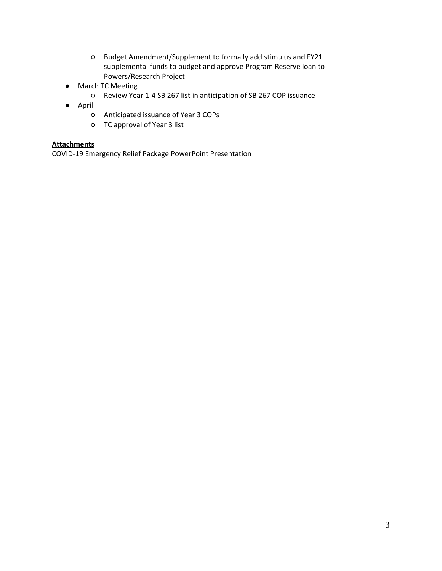- Budget Amendment/Supplement to formally add stimulus and FY21 supplemental funds to budget and approve Program Reserve loan to Powers/Research Project
- March TC Meeting
	- Review Year 1-4 SB 267 list in anticipation of SB 267 COP issuance
- April
	- Anticipated issuance of Year 3 COPs
	- TC approval of Year 3 list

### **Attachments**

COVID-19 Emergency Relief Package PowerPoint Presentation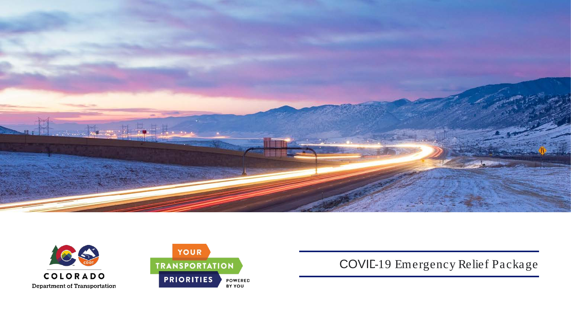





COVID-19 Emergency Relief Package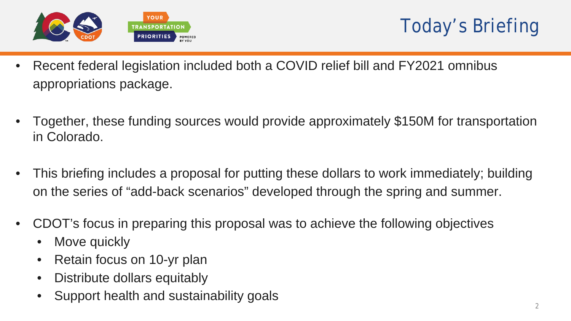



- Recent federal legislation included both a COVID relief bill and FY2021 omnibus appropriations package.
- Together, these funding sources would provide approximately \$150M for transportation in Colorado.
- This briefing includes a proposal for putting these dollars to work immediately; building on the series of "add-back scenarios" developed through the spring and summer.
- CDOT's focus in preparing this proposal was to achieve the following objectives
	- Move quickly
	- Retain focus on 10-yr plan
	- Distribute dollars equitably
	- Support health and sustainability goals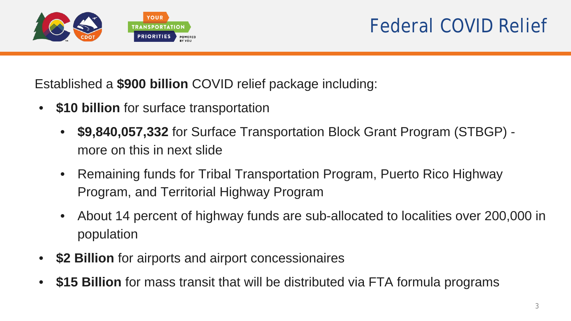

Established a **\$900 billion** COVID relief package including:

- **\$10 billion** for surface transportation
	- **\$9,840,057,332** for Surface Transportation Block Grant Program (STBGP) more on this in next slide
	- Remaining funds for Tribal Transportation Program, Puerto Rico Highway Program, and Territorial Highway Program
	- About 14 percent of highway funds are sub-allocated to localities over 200,000 in population
- **\$2 Billion** for airports and airport concessionaires
- **\$15 Billion** for mass transit that will be distributed via FTA formula programs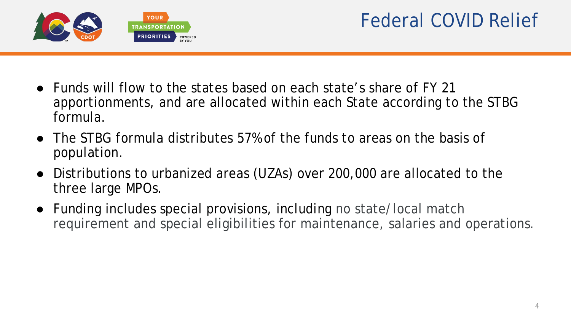

- Funds will flow to the states based on each state's share of FY 21 apportionments, and are allocated within each State according to the STBG formula.
- The STBG formula distributes 57% of the funds to areas on the basis of population.
- Distributions to urbanized areas (UZAs) over 200,000 are allocated to the three large MPOs.
- Funding includes special provisions, including no state/local match requirement and special eligibilities for maintenance, salaries and operations.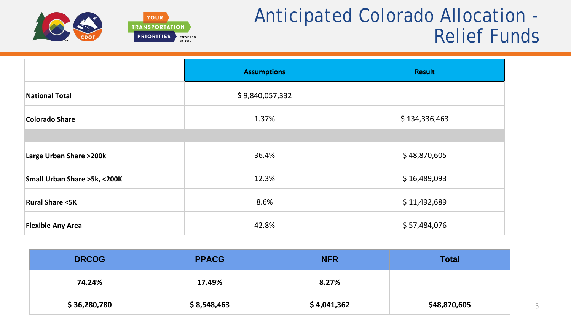

# Anticipated Colorado Allocation - Relief Funds

|                                   | <b>Assumptions</b> | <b>Result</b> |
|-----------------------------------|--------------------|---------------|
| <b>National Total</b>             | \$9,840,057,332    |               |
| Colorado Share                    | 1.37%              | \$134,336,463 |
|                                   |                    |               |
| <b>Large Urban Share &gt;200k</b> | 36.4%              | \$48,870,605  |
| Small Urban Share >5k, <200K      | 12.3%              | \$16,489,093  |
| <b>Rural Share &lt;5K</b>         | 8.6%               | \$11,492,689  |
| <b>Flexible Any Area</b>          | 42.8%              | \$57,484,076  |

| <b>DRCOG</b> | <b>PPACG</b> | <b>NFR</b>  | <b>Total</b> |
|--------------|--------------|-------------|--------------|
| 74.24%       | 17.49%       | 8.27%       |              |
| \$36,280,780 | \$8,548,463  | \$4,041,362 | \$48,870,605 |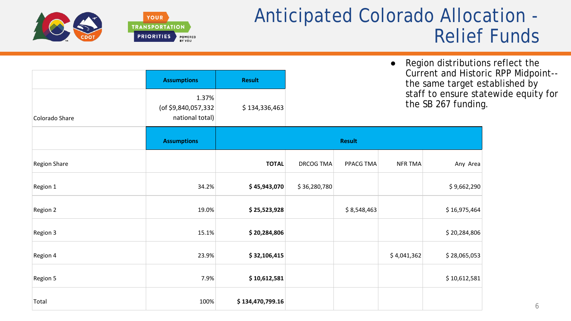# Anticipated Colorado Allocation - Relief Funds



|                     | <b>Assumptions</b>                              | <b>Result</b>    | Region distributions reflect the<br>$\bullet$<br>Current and Historic RPP Midpoint--<br>the same target established by |               |                |                     |                                      |
|---------------------|-------------------------------------------------|------------------|------------------------------------------------------------------------------------------------------------------------|---------------|----------------|---------------------|--------------------------------------|
| Colorado Share      | 1.37%<br>(of \$9,840,057,332<br>national total) | \$134,336,463    |                                                                                                                        |               |                | the SB 267 funding. | staff to ensure statewide equity for |
|                     | <b>Assumptions</b>                              |                  |                                                                                                                        | <b>Result</b> |                |                     |                                      |
| <b>Region Share</b> |                                                 | <b>TOTAL</b>     | <b>DRCOG TMA</b>                                                                                                       | PPACG TMA     | <b>NFR TMA</b> | Any Area            |                                      |
| Region 1            | 34.2%                                           | \$45,943,070     | \$36,280,780                                                                                                           |               |                | \$9,662,290         |                                      |
| Region 2            | 19.0%                                           | \$25,523,928     |                                                                                                                        | \$8,548,463   |                | \$16,975,464        |                                      |
| Region 3            | 15.1%                                           | \$20,284,806     |                                                                                                                        |               |                | \$20,284,806        |                                      |
| Region 4            | 23.9%                                           | \$32,106,415     |                                                                                                                        |               | \$4,041,362    | \$28,065,053        |                                      |
| Region 5            | 7.9%                                            | \$10,612,581     |                                                                                                                        |               |                | \$10,612,581        |                                      |
| Total               | 100%                                            | \$134,470,799.16 |                                                                                                                        |               |                |                     | 6                                    |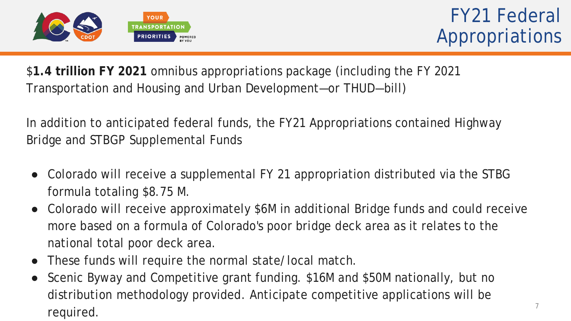

\$**1.4 trillion FY 2021** omnibus appropriations package (including the FY 2021 Transportation and Housing and Urban Development—or THUD—bill)

In addition to anticipated federal funds, the FY21 Appropriations contained Highway Bridge and STBGP Supplemental Funds

- Colorado will receive a supplemental FY 21 appropriation distributed via the STBG formula totaling \$8.75 M.
- Colorado will receive approximately \$6M in additional Bridge funds and could receive more based on a formula of Colorado's poor bridge deck area as it relates to the national total poor deck area.
- These funds will require the normal state/local match.
- Scenic Byway and Competitive grant funding. \$16M and \$50M nationally, but no distribution methodology provided. Anticipate competitive applications will be  $required.$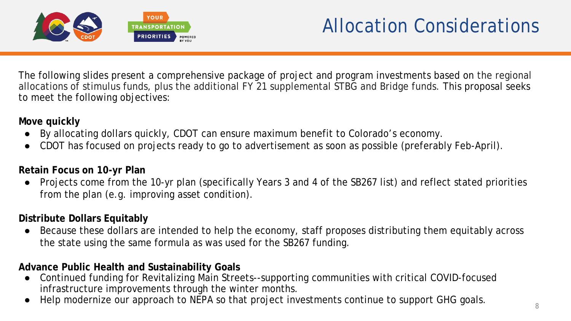

# Allocation Considerations

The following slides present a comprehensive package of project and program investments based on the regional allocations of stimulus funds, plus the additional FY 21 supplemental STBG and Bridge funds. This proposal seeks to meet the following objectives:

### **Move quickly**

- By allocating dollars quickly, CDOT can ensure maximum benefit to Colorado's economy.
- CDOT has focused on projects ready to go to advertisement as soon as possible (preferably Feb-April).

### **Retain Focus on 10-yr Plan**

● Projects come from the 10-yr plan (specifically Years 3 and 4 of the SB267 list) and reflect stated priorities from the plan (e.g. improving asset condition).

### **Distribute Dollars Equitably**

Because these dollars are intended to help the economy, staff proposes distributing them equitably across the state using the same formula as was used for the SB267 funding.

### **Advance Public Health and Sustainability Goals**

- Continued funding for Revitalizing Main Streets--supporting communities with critical COVID-focused infrastructure improvements through the winter months.
- Help modernize our approach to NEPA so that project investments continue to support GHG goals.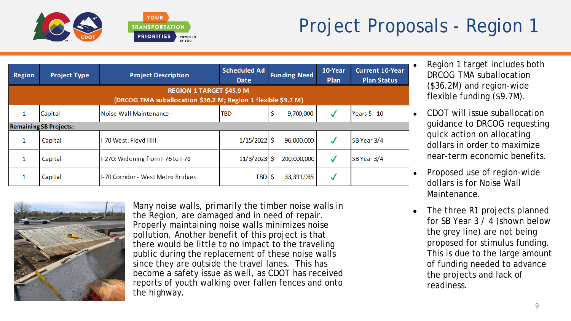



| <b>Region</b>                                                                                    | <b>Project Type</b>           | <b>Project Description</b>         | <b>Scheduled Ad</b><br><b>Date</b> | <b>Funding Need</b> | 10-Year<br>Plan | <b>Current 10-Year</b><br><b>Plan Status</b> |
|--------------------------------------------------------------------------------------------------|-------------------------------|------------------------------------|------------------------------------|---------------------|-----------------|----------------------------------------------|
| <b>REGION 1 TARGET \$45.9 M</b><br>(DRCOG TMA suballocation \$36.2 M; Region 1 flexible \$9.7 M) |                               |                                    |                                    |                     |                 |                                              |
|                                                                                                  | Capital                       | Noise Wall Maintenance             | <b>TBD</b>                         | \$<br>9,700,000     | $\checkmark$    | <b>Years 5 - 10</b>                          |
|                                                                                                  | <b>Remaining SB Projects:</b> |                                    |                                    |                     |                 |                                              |
|                                                                                                  | Capital                       | I-70 West: Floyd Hill              | $1/15/2022$ \$                     | 96,000,000          | √               | SB Year 3/4                                  |
|                                                                                                  | Capital                       | I-270: Widening from I-76 to I-70  | $11/3/2023$ \$                     | 200,000,000         | √               | SB Year 3/4                                  |
|                                                                                                  | Capital                       | I-70 Corridor - West Metro Bridges | <b>TBD</b>                         | 33,391,935          | √               |                                              |

**POWERED** 



Many noise walls, primarily the timber noise walls in the Region, are damaged and in need of repair. Properly maintaining noise walls minimizes noise pollution. Another benefit of this project is that there would be little to no impact to the traveling public during the replacement of these noise walls since they are outside the travel lanes. This has become a safety issue as well, as CDOT has received reports of youth walking over fallen fences and onto the highway.

- Region 1 target includes both DRCOG TMA suballocation (\$36.2M) and region-wide flexible funding (\$9.7M).
- CDOT will issue suballocation guidance to DRCOG requesting quick action on allocating dollars in order to maximize near-term economic benefits.
- Proposed use of region-wide dollars is for Noise Wall Maintenance.
- The three R1 projects planned for SB Year 3 / 4 (shown below the grey line) are not being proposed for stimulus funding. This is due to the large amount of funding needed to advance the projects and lack of readiness.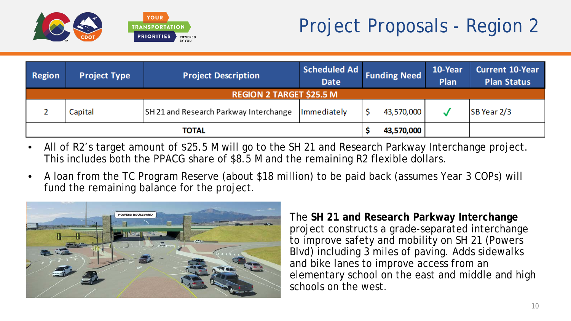

# Project Proposals - Region 2

| Region                          | <b>Project Type</b> | <b>Project Description</b>             | Scheduled Ad<br><b>Date</b> | <b>Funding Need</b> | 10-Year<br>Plan | <b>Current 10-Year</b><br><b>Plan Status</b> |  |
|---------------------------------|---------------------|----------------------------------------|-----------------------------|---------------------|-----------------|----------------------------------------------|--|
| <b>REGION 2 TARGET \$25.5 M</b> |                     |                                        |                             |                     |                 |                                              |  |
|                                 | Capital             | SH 21 and Research Parkway Interchange | Immediately                 | 43,570,000          |                 | SB Year 2/3                                  |  |
|                                 |                     | TOTAL                                  |                             | 43,570,000          |                 |                                              |  |

- All of R2's target amount of \$25.5 M will go to the SH 21 and Research Parkway Interchange project. This includes both the PPACG share of \$8.5 M and the remaining R2 flexible dollars.
- A loan from the TC Program Reserve (about \$18 million) to be paid back (assumes Year 3 COPs) will fund the remaining balance for the project.



The **SH 21 and Research Parkway Interchange** project constructs a grade-separated interchange to improve safety and mobility on SH 21 (Powers Blvd) including 3 miles of paving. Adds sidewalks and bike lanes to improve access from an elementary school on the east and middle and high schools on the west.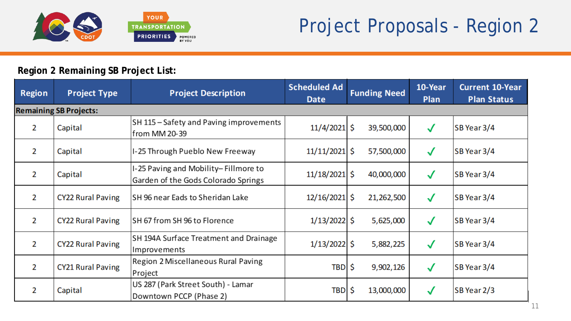

## **Region 2 Remaining SB Project List:**

| <b>Region</b>  | <b>Project Type</b>           | <b>Project Description</b>                                                  | <b>Scheduled Ad</b><br><b>Date</b> | <b>Funding Need</b> | 10-Year<br><b>Plan</b> | <b>Current 10-Year</b><br><b>Plan Status</b> |
|----------------|-------------------------------|-----------------------------------------------------------------------------|------------------------------------|---------------------|------------------------|----------------------------------------------|
|                | <b>Remaining SB Projects:</b> |                                                                             |                                    |                     |                        |                                              |
| 2              | Capital                       | SH 115 - Safety and Paving improvements<br>from MM 20-39                    | $11/4/2021$ \$                     | 39,500,000          | $\checkmark$           | SB Year 3/4                                  |
| 2              | Capital                       | I-25 Through Pueblo New Freeway                                             | $11/11/2021$ \$                    | 57,500,000          | $\checkmark$           | SB Year 3/4                                  |
| 2              | Capital                       | I-25 Paving and Mobility-Fillmore to<br>Garden of the Gods Colorado Springs | $11/18/2021$ \$                    | 40,000,000          | $\checkmark$           | SB Year 3/4                                  |
| $\overline{2}$ | <b>CY22 Rural Paving</b>      | SH 96 near Eads to Sheridan Lake                                            | $12/16/2021$ \$                    | 21,262,500          | $\checkmark$           | SB Year 3/4                                  |
| $\overline{2}$ | <b>CY22 Rural Paving</b>      | SH 67 from SH 96 to Florence                                                | $1/13/2022$ \$                     | 5,625,000           | $\checkmark$           | SB Year 3/4                                  |
| $\overline{2}$ | <b>CY22 Rural Paving</b>      | SH 194A Surface Treatment and Drainage<br>Improvements                      | $1/13/2022$ \$                     | 5,882,225           | $\checkmark$           | SB Year 3/4                                  |
| $\overline{2}$ | <b>CY21 Rural Paving</b>      | Region 2 Miscellaneous Rural Paving<br>Project                              | TBD \$                             | 9,902,126           | $\checkmark$           | SB Year 3/4                                  |
| 2              | Capital                       | US 287 (Park Street South) - Lamar<br>Downtown PCCP (Phase 2)               | <b>TBD</b>                         | Š.<br>13,000,000    | $\checkmark$           | SB Year 2/3                                  |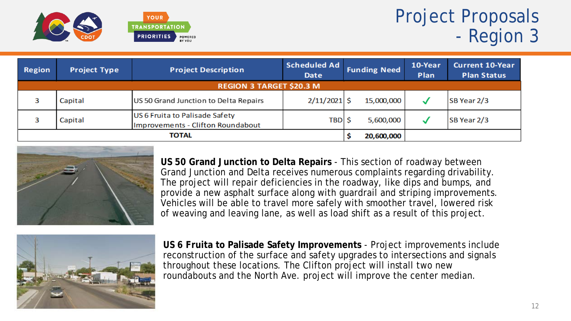

# Project Proposals - Region 3

| Region       | <b>Project Type</b>             | <b>Project Description</b>                                          | <b>Scheduled Ad</b><br><b>Date</b> | <b>Funding Need</b> |            | 10-Year<br>Plan | <b>Current 10-Year</b><br><b>Plan Status</b> |  |
|--------------|---------------------------------|---------------------------------------------------------------------|------------------------------------|---------------------|------------|-----------------|----------------------------------------------|--|
|              | <b>REGION 3 TARGET \$20.3 M</b> |                                                                     |                                    |                     |            |                 |                                              |  |
|              | Capital                         | US 50 Grand Junction to Delta Repairs                               | $2/11/2021$ \$                     |                     | 15,000,000 | w               | SB Year 2/3                                  |  |
|              | Capital                         | US 6 Fruita to Palisade Safety<br>Improvements - Clifton Roundabout | TBD  \$                            |                     | 5,600,000  |                 | SB Year 2/3                                  |  |
| <b>TOTAL</b> |                                 |                                                                     |                                    |                     | 20,600,000 |                 |                                              |  |



**US 50 Grand Junction to Delta Repairs** - This section of roadway between Grand Junction and Delta receives numerous complaints regarding drivability. The project will repair deficiencies in the roadway, like dips and bumps, and provide a new asphalt surface along with guardrail and striping improvements. Vehicles will be able to travel more safely with smoother travel, lowered risk of weaving and leaving lane, as well as load shift as a result of this project.



**US 6 Fruita to Palisade Safety Improvements** - Project improvements include reconstruction of the surface and safety upgrades to intersections and signals throughout these locations. The Clifton project will install two new roundabouts and the North Ave. project will improve the center median.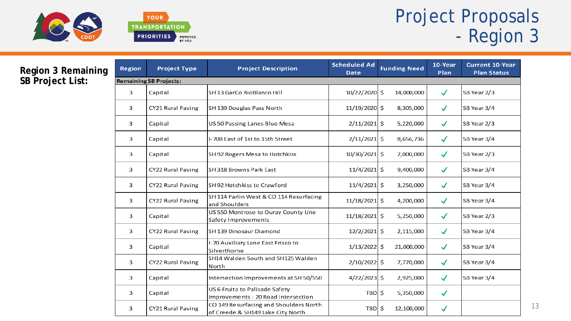



# Project Proposals - Region 3

### **Region 3 Remaining SB Project List:**

| <b>Region</b>  | <b>Project Type</b>           | <b>Project Description</b>                                                  | <b>Scheduled Ad</b><br><b>Date</b> | <b>Funding Need</b> | 10-Year<br>Plan | <b>Current 10-Year</b><br><b>Plan Status</b> |
|----------------|-------------------------------|-----------------------------------------------------------------------------|------------------------------------|---------------------|-----------------|----------------------------------------------|
|                | <b>Remaining SB Projects:</b> |                                                                             |                                    |                     |                 |                                              |
| 3              | Capital                       | SH 13 GarCo RioBlanco Hill                                                  | 10/22/2020 \$                      | 14,000,000          | $\checkmark$    | SB Year 2/3                                  |
| 3              | <b>CY21 Rural Paving</b>      | SH 139 Douglas Pass North                                                   | $11/19/2020$ \$                    | 8,305,000           | $\checkmark$    | SB Year 3/4                                  |
| 3              | Capital                       | US 50 Passing Lanes Blue Mesa                                               | $2/11/2021$ \$                     | 5,220,000           | $\checkmark$    | SB Year 2/3                                  |
| 3              | Capital                       | I-70B East of 1st to 15th Street                                            | $2/11/2021$ \$                     | 8,656,736           | $\checkmark$    | SB Year 3/4                                  |
| 3              | Capital                       | SH 92 Rogers Mesa to Hotchkiss                                              | $10/30/2021$ \$                    | 7,000,000           | $\checkmark$    | SB Year 2/3                                  |
| 3              | <b>CY22 Rural Paving</b>      | SH 318 Browns Park East                                                     | $11/4/2021$ \$                     | 9,400,000           | $\checkmark$    | SB Year 3/4                                  |
| $\overline{3}$ | <b>CY22 Rural Paving</b>      | SH 92 Hotchkiss to Crawford                                                 | $11/4/2021$ \$                     | 3,250,000           | $\checkmark$    | SB Year 3/4                                  |
| 3              | <b>CY22 Rural Paving</b>      | SH 114 Parlin West & CO 114 Resurfacing<br>and Shoulders                    | $11/18/2021$ \$                    | 4,200,000           | $\checkmark$    | SB Year 3/4                                  |
| 3              | Capital                       | US 550 Montrose to Ouray County Line<br>Safety Improvements                 | $11/18/2021$ \$                    | 5,250,000           | $\checkmark$    | SB Year 2/3                                  |
| 3              | <b>CY22 Rural Paving</b>      | SH 139 Dinosaur Diamond                                                     | $12/2/2021$ \$                     | 2,115,000           | $\checkmark$    | SB Year 3/4                                  |
| 3              | Capital                       | I-70 Auxiliary Lane East Frisco to<br>Silverthorne                          | $1/13/2022$ \$                     | 21,000,000          | $\checkmark$    | SB Year 3/4                                  |
| 3              | <b>CY22 Rural Paving</b>      | SH14 Walden South and SH125 Walden<br>North                                 | $2/10/2022$ \$                     | 7,770,000           | $\checkmark$    | SB Year 3/4                                  |
| 3              | Capital                       | Intersection Improvements at SH 50/550                                      | $4/22/2023$ \$                     | 2,925,000           | $\checkmark$    | SB Year 3/4                                  |
| 3              | Capital                       | US 6 Fruita to Palisade Safety<br>Improvements - 20 Road Intersection       | $TBD$ \$                           | 5,350,000           | $\checkmark$    |                                              |
| 3              | <b>CY21 Rural Paving</b>      | CO 149 Resurfacing and Shoulders North<br>of Creede & SH149 Lake City North | $TBD$ \$                           | 12,100,000          | $\checkmark$    |                                              |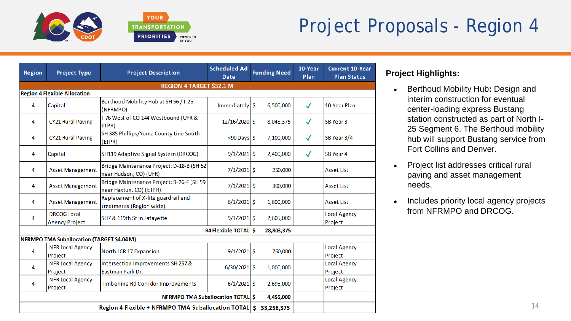



# Project Proposals - Region 4

| <b>Region</b> | <b>Project Type</b>                               | <b>Project Description</b>                                           | <b>Scheduled Ad</b><br><b>Date</b> | <b>Funding Need</b> | 10-Year<br>Plan | <b>Current 10-Year</b><br><b>Plan Status</b> |  |  |  |
|---------------|---------------------------------------------------|----------------------------------------------------------------------|------------------------------------|---------------------|-----------------|----------------------------------------------|--|--|--|
|               | REGION 4 TARGET \$32.1 M                          |                                                                      |                                    |                     |                 |                                              |  |  |  |
|               | <b>Region 4 Flexible Allocation</b>               |                                                                      |                                    |                     |                 |                                              |  |  |  |
| 4             | Capital                                           | Berthoud Mobility Hub at SH 56 / I-25<br>(NFRMPO)                    | $Imme diately$ \$                  | 6,500,000           | √               | 10-Year Plan                                 |  |  |  |
| 4             | <b>CY21 Rural Paving</b>                          | I-76 West of CO 144 Westbound (UFR &<br>ETPR)                        | $12/16/2020$ \$                    | 8,048,375           | ✓               | SB Year 3                                    |  |  |  |
| 4             | <b>CY21 Rural Paving</b>                          | SH 385 Phillips/Yuma County Line South<br>(ETPR)                     | $<$ 90 Days $\vert$ \$             | 7,100,000           | ✓               | SB Year 3/4                                  |  |  |  |
| 4             | Capital                                           | SH119 Adaptive Signal System (DRCOG)                                 | $9/1/2021$ \$                      | 2,400,000           | ✓               | SB Year 4                                    |  |  |  |
| 4             | <b>Asset Management</b>                           | Bridge Maintenance Project: D-18-B (SH 52<br>near Hudson, CO) (UFR)  | $7/1/2021$ \$                      | 250,000             |                 | <b>Asset List</b>                            |  |  |  |
| 4             | <b>Asset Management</b>                           | Bridge Maintenance Project: B-26-F (SH 59<br>near Haxtun, CO) (ETPR) | $7/1/2021$ \$                      | 300,000             |                 | <b>Asset List</b>                            |  |  |  |
| 4             | <b>Asset Management</b>                           | Replacement of X-lite guardrail end<br>treatments (Region wide)      | $6/1/2021$ \$                      | 1,600,000           |                 | <b>Asset List</b>                            |  |  |  |
| 4             | DRCOG Local<br><b>Agency Project</b>              | SH7 & 119th St in Lafayette                                          | $9/1/2021$ \$                      | 2,605,000           |                 | <b>Local Agency</b><br>Project               |  |  |  |
|               |                                                   |                                                                      | R4 Flexible TOTAL \$               | 28,803,375          |                 |                                              |  |  |  |
|               | <b>NFRMPO TMA Suballocation (TARGET \$4.04 M)</b> |                                                                      |                                    |                     |                 |                                              |  |  |  |
| 4             | <b>NFR Local Agency</b><br>Project                | North LCR 17 Expansion                                               | $9/1/2021$ \$                      | 760,000             |                 | <b>Local Agency</b><br>Project               |  |  |  |
| 4             | <b>NFR Local Agency</b><br>Project                | Intersection Improvements SH 257 &<br>Eastman Park Dr.               | $6/30/2021$ \$                     | 1,000,000           |                 | Local Agency<br>Project                      |  |  |  |
| 4             | <b>NFR Local Agency</b><br>Project                | Timberline Rd Corridor Improvements                                  | $6/1/2021$ \$                      | 2,695,000           |                 | <b>Local Agency</b><br>Project               |  |  |  |
|               |                                                   | <b>NFRMPO TMA Suballocation TOTAL \$</b>                             |                                    | 4,455,000           |                 |                                              |  |  |  |
|               |                                                   | Region 4 Flexible + NFRMPO TMA Suballocation TOTAL   \$ 33,258,375   |                                    |                     |                 |                                              |  |  |  |

### **Project Highlights:**

- Berthoud Mobility Hub**:** Design and interim construction for eventual center-loading express Bustang station constructed as part of North I-25 Segment 6. The Berthoud mobility hub will support Bustang service from Fort Collins and Denver.
- Project list addresses critical rural paving and asset management needs.
- Includes priority local agency projects from NFRMPO and DRCOG.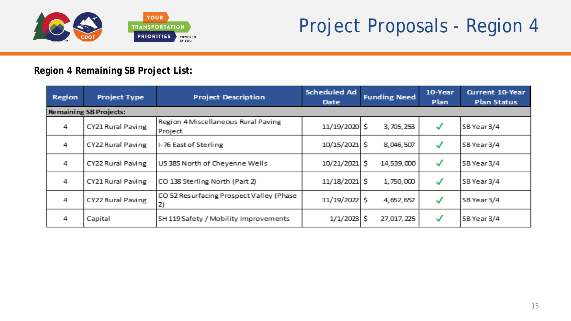

### **Region 4 Remaining SB Project List:**

| Region | <b>Project Type</b>           | <b>Project Description</b>                     | <b>Scheduled Ad</b><br>Date | <b>Funding Need</b> | 10-Year<br>Plan | <b>Current 10-Year</b><br><b>Plan Status</b> |
|--------|-------------------------------|------------------------------------------------|-----------------------------|---------------------|-----------------|----------------------------------------------|
|        | <b>Remaining SB Projects:</b> |                                                |                             |                     |                 |                                              |
| 4      | CY21 Rural Paving             | Region 4 Miscellaneous Rural Paving<br>Project | 11/19/2020 \$               | 3,705,253           | $\checkmark$    | SB Year 3/4                                  |
| 4      | CY22 Rural Paving             | I-76 East of Sterling                          | 10/15/2021 \$               | 8,046,507           | √               | SB Year 3/4                                  |
| 4      | CY22 Rural Paving             | US 385 North of Cheyenne Wells                 | 10/21/2021 \$               | 14,539,000          | √               | SB Year 3/4                                  |
| 4      | CY21 Rural Paving             | CO 138 Sterling North (Part 2)                 | 11/18/2021 \$               | 1,750,000           | $\checkmark$    | SB Year 3/4                                  |
| 4      | CY22 Rural Paving             | CO 52 Resurfacing Prospect Valley (Phase<br>2) | 11/19/2022 \$               | 4,652,657           | √               | SB Year 3/4                                  |
| 4      | Capital                       | SH 119 Safety / Mobility Improvements          | 1/1/2023                    | s<br>27,017,225     | √               | SB Year 3/4                                  |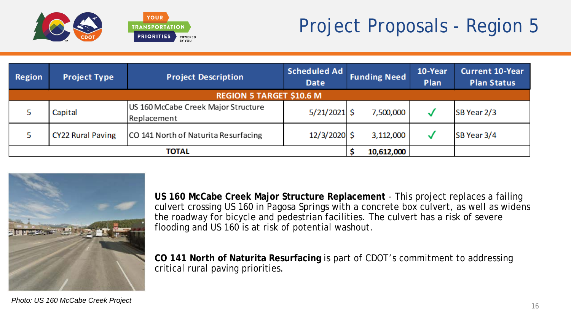

# Project Proposals - Region 5

| Region | <b>Project Type</b>      | <b>Project Description</b>                         | <b>Scheduled Ad</b><br><b>Date</b> |  | <b>Funding Need</b> | 10-Year<br>Plan | <b>Current 10-Year</b><br><b>Plan Status</b> |
|--------|--------------------------|----------------------------------------------------|------------------------------------|--|---------------------|-----------------|----------------------------------------------|
|        |                          | <b>REGION 5 TARGET \$10.6 M</b>                    |                                    |  |                     |                 |                                              |
|        | Capital                  | US 160 McCabe Creek Major Structure<br>Replacement | $5/21/2021$ \$                     |  | 7,500,000           |                 | SB Year 2/3                                  |
|        | <b>CY22 Rural Paving</b> | CO 141 North of Naturita Resurfacing               | $12/3/2020$ \$                     |  | 3,112,000           |                 | SB Year 3/4                                  |
|        | ΤΟΤΑL                    |                                                    |                                    |  |                     |                 |                                              |



**US 160 McCabe Creek Major Structure Replacement** - This project replaces a failing culvert crossing US 160 in Pagosa Springs with a concrete box culvert, as well as widens the roadway for bicycle and pedestrian facilities. The culvert has a risk of severe flooding and US 160 is at risk of potential washout.

**CO 141 North of Naturita Resurfacing** is part of CDOT's commitment to addressing critical rural paving priorities.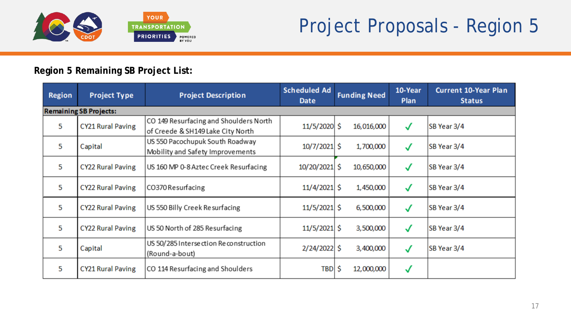

### **Region 5 Remaining SB Project List:**

| <b>Region</b> | <b>Project Type</b>           | <b>Project Description</b>                                                  | <b>Scheduled Ad</b><br><b>Date</b> | <b>Funding Need</b> | 10-Year<br><b>Plan</b> | <b>Current 10-Year Plan</b><br><b>Status</b> |
|---------------|-------------------------------|-----------------------------------------------------------------------------|------------------------------------|---------------------|------------------------|----------------------------------------------|
|               | <b>Remaining SB Projects:</b> |                                                                             |                                    |                     |                        |                                              |
| 5             | <b>CY21 Rural Paving</b>      | CO 149 Resurfacing and Shoulders North<br>of Creede & SH149 Lake City North | 11/5/2020 \$                       | 16,016,000          | √                      | SB Year 3/4                                  |
| 5             | Capital                       | US 550 Pacochupuk South Roadway<br>Mobility and Safety Improvements         | $10/7/2021$ \$                     | 1,700,000           | ✓                      | SB Year 3/4                                  |
| 5             | <b>CY22 Rural Paving</b>      | US 160 MP 0-8 Aztec Creek Resurfacing                                       | 10/20/2021 \$                      | 10,650,000          | √                      | SB Year 3/4                                  |
| 5             | <b>CY22 Rural Paving</b>      | CO370 Resurfacing                                                           | $11/4/2021$ \$                     | 1,450,000           | $\checkmark$           | SB Year 3/4                                  |
| 5             | <b>CY22 Rural Paving</b>      | US 550 Billy Creek Resurfacing                                              | $11/5/2021$ \$                     | 6,500,000           | √                      | SB Year 3/4                                  |
| 5             | <b>CY22 Rural Paving</b>      | US 50 North of 285 Resurfacing                                              | $11/5/2021$ \$                     | 3,500,000           | √                      | SB Year 3/4                                  |
| 5             | Capital                       | US 50/285 Intersection Reconstruction<br>(Round-a-bout)                     | $2/24/2022$ \$                     | 3,400,000           | $\checkmark$           | SB Year 3/4                                  |
| 5             | <b>CY21 Rural Paving</b>      | CO 114 Resurfacing and Shoulders                                            | TBD \$                             | 12,000,000          | √                      |                                              |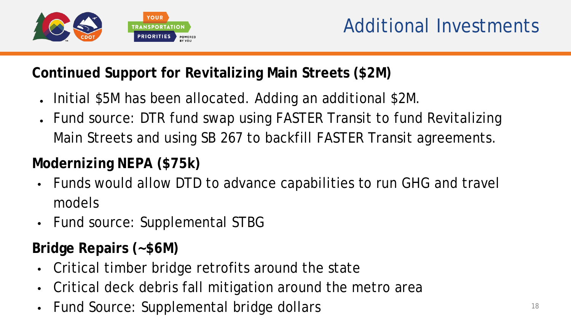

## **Continued Support for Revitalizing Main Streets (\$2M)**

- Initial \$5M has been allocated. Adding an additional \$2M.
- Fund source: DTR fund swap using FASTER Transit to fund Revitalizing Main Streets and using SB 267 to backfill FASTER Transit agreements.

# **Modernizing NEPA (\$75k)**

- Funds would allow DTD to advance capabilities to run GHG and travel models
- Fund source: Supplemental STBG

## **Bridge Repairs (~\$6M)**

- Critical timber bridge retrofits around the state
- Critical deck debris fall mitigation around the metro area
- Fund Source: Supplemental bridge dollars **18** 18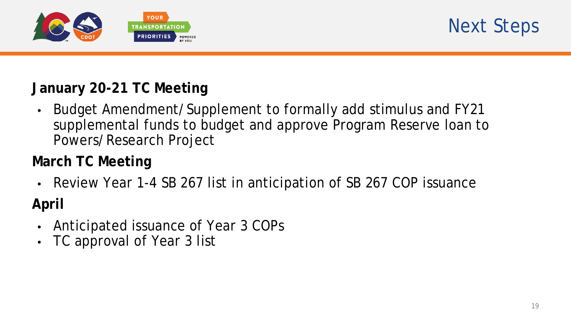



## **January 20-21 TC Meeting**

• Budget Amendment/Supplement to formally add stimulus and FY21 supplemental funds to budget and approve Program Reserve loan to Powers/Research Project

## **March TC Meeting**

Review Year 1-4 SB 267 list in anticipation of SB 267 COP issuance

## **April**

- Anticipated issuance of Year 3 COPs
- TC approval of Year 3 list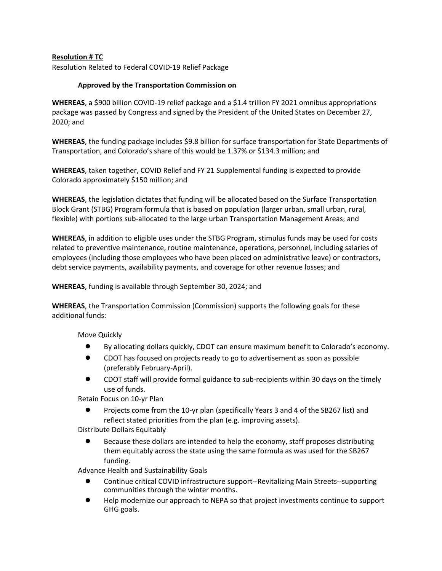#### **Resolution # TC**

Resolution Related to Federal COVID-19 Relief Package

#### **Approved by the Transportation Commission on**

**WHEREAS**, a \$900 billion COVID-19 relief package and a \$1.4 trillion FY 2021 omnibus appropriations package was passed by Congress and signed by the President of the United States on December 27, 2020; and

**WHEREAS**, the funding package includes \$9.8 billion for surface transportation for State Departments of Transportation, and Colorado's share of this would be 1.37% or \$134.3 million; and

**WHEREAS**, taken together, COVID Relief and FY 21 Supplemental funding is expected to provide Colorado approximately \$150 million; and

**WHEREAS**, the legislation dictates that funding will be allocated based on the Surface Transportation Block Grant (STBG) Program formula that is based on population (larger urban, small urban, rural, flexible) with portions sub-allocated to the large urban Transportation Management Areas; and

**WHEREAS**, in addition to eligible uses under the STBG Program, stimulus funds may be used for costs related to preventive maintenance, routine maintenance, operations, personnel, including salaries of employees (including those employees who have been placed on administrative leave) or contractors, debt service payments, availability payments, and coverage for other revenue losses; and

**WHEREAS**, funding is available through September 30, 2024; and

**WHEREAS**, the Transportation Commission (Commission) supports the following goals for these additional funds:

Move Quickly

- By allocating dollars quickly, CDOT can ensure maximum benefit to Colorado's economy.
- CDOT has focused on projects ready to go to advertisement as soon as possible (preferably February-April).
- CDOT staff will provide formal guidance to sub-recipients within 30 days on the timely use of funds.

Retain Focus on 10-yr Plan

● Projects come from the 10-yr plan (specifically Years 3 and 4 of the SB267 list) and reflect stated priorities from the plan (e.g. improving assets).

Distribute Dollars Equitably

Because these dollars are intended to help the economy, staff proposes distributing them equitably across the state using the same formula as was used for the SB267 funding.

Advance Health and Sustainability Goals

- Continue critical COVID infrastructure support--Revitalizing Main Streets--supporting communities through the winter months.
- Help modernize our approach to NEPA so that project investments continue to support GHG goals.